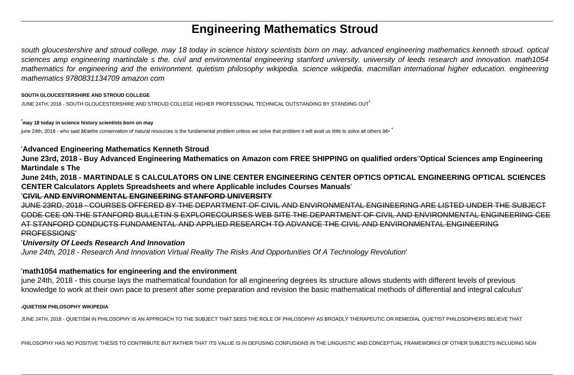# **Engineering Mathematics Stroud**

south gloucestershire and stroud college. may 18 today in science history scientists born on may. advanced engineering mathematics kenneth stroud. optical sciences amp engineering martindale s the. civil and environmental engineering stanford university, university of leeds research and innovation. math1054 mathematics for engineering and the environment. quietism philosophy wikipedia. science wikipedia. macmillan international higher education. engineering mathematics 9780831134709 amazon com

#### **SOUTH GLOUCESTERSHIRE AND STROUD COLLEGE**

JUNE 24TH, 2018 - SOUTH GLOUCESTERSHIRE AND STROUD COLLEGE HIGHER PROFESSIONAL TECHNICAL OUTSTANDING BY STANDING OUT'

#### '**may 18 today in science history scientists born on may**

june 24th, 2018 - who said "the conservation of natural resources is the fundamental problem unless we solve that problem it will avail us little to solve all others â€.

## '**Advanced Engineering Mathematics Kenneth Stroud**

**June 23rd, 2018 - Buy Advanced Engineering Mathematics on Amazon com FREE SHIPPING on qualified orders**''**Optical Sciences amp Engineering Martindale s The**

**June 24th, 2018 - MARTINDALE S CALCULATORS ON LINE CENTER ENGINEERING CENTER OPTICS OPTICAL ENGINEERING OPTICAL SCIENCES CENTER Calculators Applets Spreadsheets and where Applicable includes Courses Manuals**'

## '**CIVIL AND ENVIRONMENTAL ENGINEERING STANFORD UNIVERSITY**

JUNE 23RD, 2018 - COURSES OFFERED BY THE DEPARTMENT OF CIVIL AND ENVIRONMENTAL ENGINEERING ARE LISTED UNDER THE SUBJECT CODE CEE ON THE STANFORD BULLETIN S EXPLORECOURSES WEB SITE THE DEPARTMENT OF CIVIL AND ENVIRONMENTAL ENGINEERING CEE AT STANFORD CONDUCTS FUNDAMENTAL AND APPLIED RESEARCH TO ADVANCE THE CIVIL AND ENVIRONMENTAL ENGINEERING PROFESSIONS'

### '**University Of Leeds Research And Innovation**

June 24th, 2018 - Research And Innovation Virtual Reality The Risks And Opportunities Of A Technology Revolution'

## '**math1054 mathematics for engineering and the environment**

june 24th, 2018 - this course lays the mathematical foundation for all engineering degrees its structure allows students with different levels of previous knowledge to work at their own pace to present after some preparation and revision the basic mathematical methods of differential and integral calculus'

#### '**QUIETISM PHILOSOPHY WIKIPEDIA**

JUNE 24TH, 2018 - QUIETISM IN PHILOSOPHY IS AN APPROACH TO THE SUBJECT THAT SEES THE ROLE OF PHILOSOPHY AS BROADLY THERAPEUTIC OR REMEDIAL QUIETIST PHILOSOPHERS BELIEVE THAT

PHILOSOPHY HAS NO POSITIVE THESIS TO CONTRIBUTE BUT RATHER THAT ITS VALUE IS IN DEFUSING CONFUSIONS IN THE LINGUISTIC AND CONCEPTUAL FRAMEWORKS OF OTHER SUBJECTS INCLUDING NON